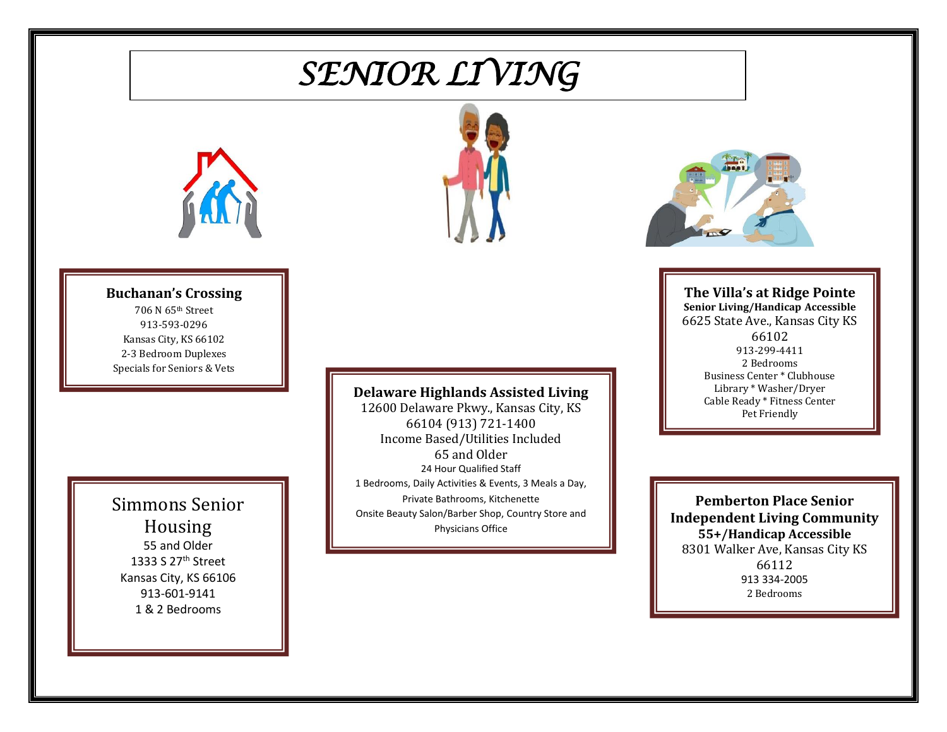# *SENIOR LIVING*





### **Buchanan's Crossing**

706 N 65th Street 913-593-0296 Kansas City, KS 66102 2-3 Bedroom Duplexes Specials for Seniors & Vets

### Simmons Senior Housing 55 and Older 1333 S 27th Street Kansas City, KS 66106 913-601-9141 1 & 2 Bedrooms

### **Delaware Highlands Assisted Living**

12600 Delaware Pkwy., Kansas City, KS 66104 (913) 721-1400 Income Based/Utilities Included 65 and Older 24 Hour Qualified Staff 1 Bedrooms, Daily Activities & Events, 3 Meals a Day, Private Bathrooms, Kitchenette Onsite Beauty Salon/Barber Shop, Country Store and Physicians Office



**The Villa's at Ridge Pointe Senior Living/Handicap Accessible** 6625 State Ave., Kansas City KS 66102 913-299-4411 2 Bedrooms Business Center \* Clubhouse Library \* Washer/Dryer Cable Ready \* Fitness Center Pet Friendly

**Pemberton Place Senior Independent Living Community 55+/Handicap Accessible** 8301 Walker Ave, Kansas City KS 66112 913 334-2005 2 Bedrooms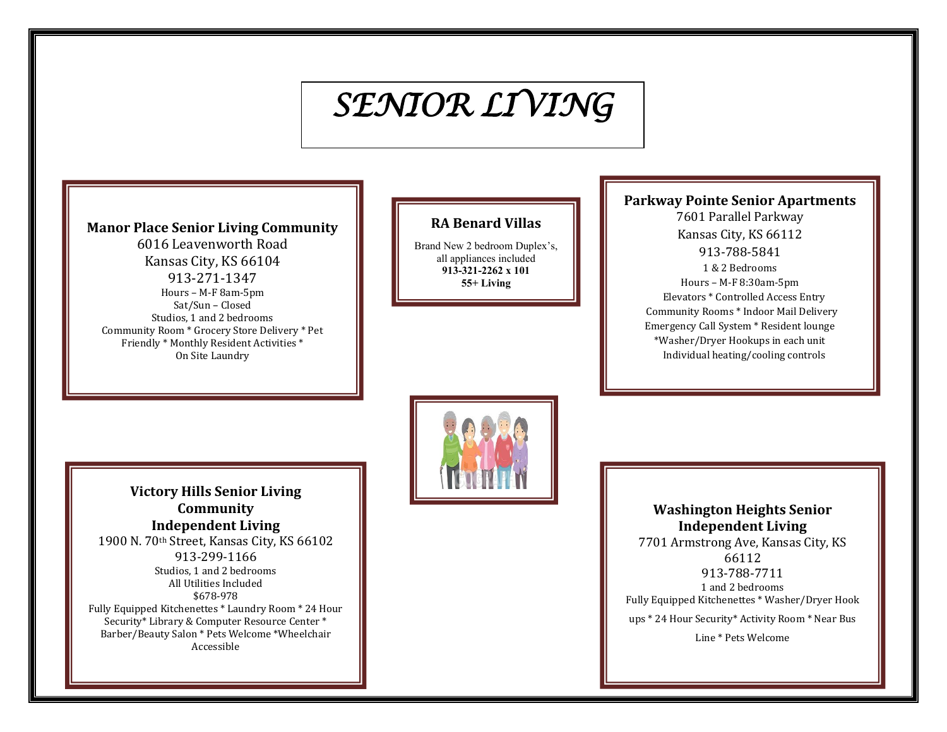# *SENIOR LIVING*

### **Manor Place Senior Living Community**

6016 Leavenworth Road Kansas City, KS 66104 913-271-1347 Hours – M-F 8am-5pm Sat/Sun – Closed Studios, 1 and 2 bedrooms Community Room \* Grocery Store Delivery \* Pet Friendly \* Monthly Resident Activities \* On Site Laundry

### **RA Benard Villas**

Brand New 2 bedroom Duplex's, all appliances included **913-321-2262 x 101 55+ Living**

## **Parkway Pointe Senior Apartments**

7601 Parallel Parkway Kansas City, KS 66112 913-788-5841 1 & 2 Bedrooms Hours – M-F 8:30am-5pm Elevators \* Controlled Access Entry Community Rooms \* Indoor Mail Delivery Emergency Call System \* Resident lounge \*Washer/Dryer Hookups in each unit Individual heating/cooling controls



**Victory Hills Senior Living Community Independent Living** 1900 N. 70th Street, Kansas City, KS 66102 913-299-1166 Studios, 1 and 2 bedrooms All Utilities Included \$678-978 Fully Equipped Kitchenettes \* Laundry Room \* 24 Hour Security\* Library & Computer Resource Center \* Barber/Beauty Salon \* Pets Welcome \*Wheelchair Accessible

**Washington Heights Senior Independent Living** 7701 Armstrong Ave, Kansas City, KS

66112 913-788-7711 1 and 2 bedrooms Fully Equipped Kitchenettes \* Washer/Dryer Hook ups \* 24 Hour Security\* Activity Room \* Near Bus

Line \* Pets Welcome